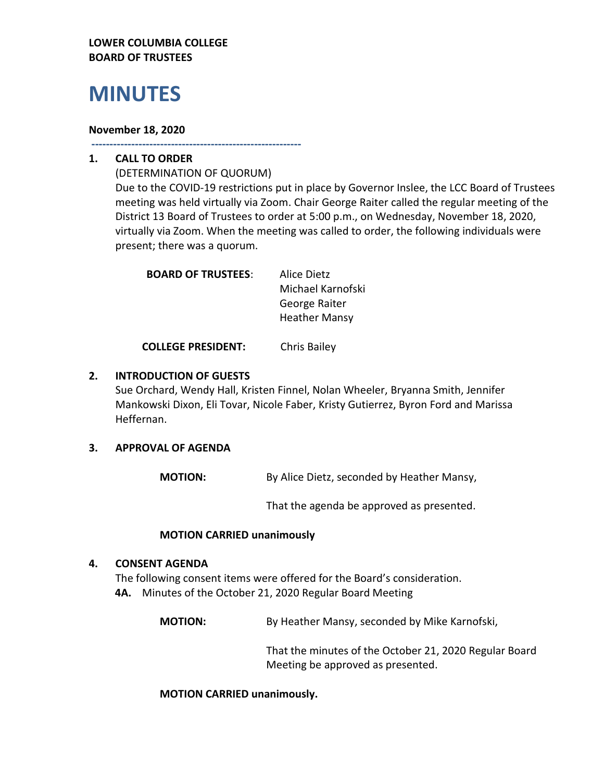# **LOWER COLUMBIA COLLEGE BOARD OF TRUSTEES**

# **MINUTES**

#### **November 18, 2020**

**----------------------------------------------------------**

# **1. CALL TO ORDER**

(DETERMINATION OF QUORUM) Due to the COVID-19 restrictions put in place by Governor Inslee, the LCC Board of Trustees meeting was held virtually via Zoom. Chair George Raiter called the regular meeting of the District 13 Board of Trustees to order at 5:00 p.m., on Wednesday, November 18, 2020, virtually via Zoom. When the meeting was called to order, the following individuals were present; there was a quorum.

| Alice Dietz          |
|----------------------|
| Michael Karnofski    |
| George Raiter        |
| <b>Heather Mansy</b> |
|                      |

**COLLEGE PRESIDENT:** Chris Bailey

# **2. INTRODUCTION OF GUESTS**

Sue Orchard, Wendy Hall, Kristen Finnel, Nolan Wheeler, Bryanna Smith, Jennifer Mankowski Dixon, Eli Tovar, Nicole Faber, Kristy Gutierrez, Byron Ford and Marissa Heffernan.

# **3. APPROVAL OF AGENDA**

**MOTION:** By Alice Dietz, seconded by Heather Mansy,

That the agenda be approved as presented.

# **MOTION CARRIED unanimously**

# **4. CONSENT AGENDA**

The following consent items were offered for the Board's consideration. **4A.** Minutes of the October 21, 2020 Regular Board Meeting

**MOTION:** By Heather Mansy, seconded by Mike Karnofski,

That the minutes of the October 21, 2020 Regular Board Meeting be approved as presented.

# **MOTION CARRIED unanimously.**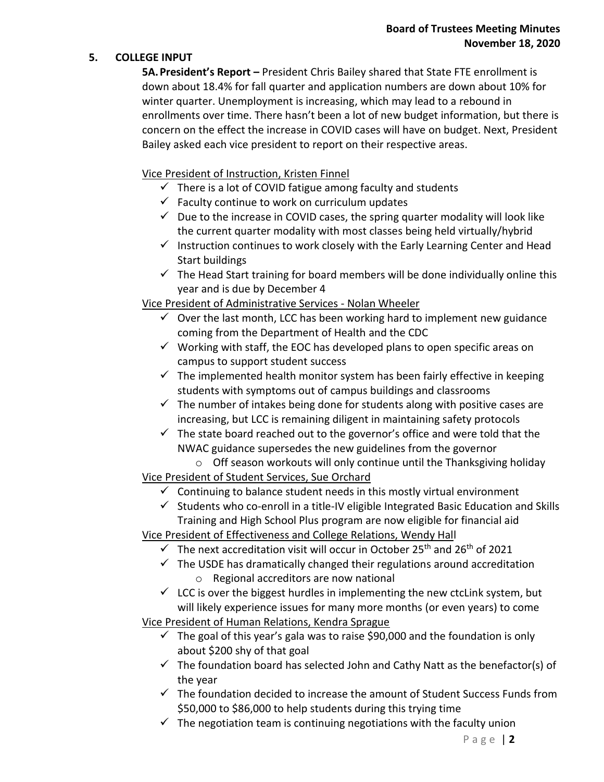# **5. COLLEGE INPUT**

**5A.President's Report –** President Chris Bailey shared that State FTE enrollment is down about 18.4% for fall quarter and application numbers are down about 10% for winter quarter. Unemployment is increasing, which may lead to a rebound in enrollments over time. There hasn't been a lot of new budget information, but there is concern on the effect the increase in COVID cases will have on budget. Next, President Bailey asked each vice president to report on their respective areas.

Vice President of Instruction, Kristen Finnel

- $\checkmark$  There is a lot of COVID fatigue among faculty and students
- $\checkmark$  Faculty continue to work on curriculum updates
- $\checkmark$  Due to the increase in COVID cases, the spring quarter modality will look like the current quarter modality with most classes being held virtually/hybrid
- $\checkmark$  Instruction continues to work closely with the Early Learning Center and Head Start buildings
- $\checkmark$  The Head Start training for board members will be done individually online this year and is due by December 4

Vice President of Administrative Services - Nolan Wheeler

- $\checkmark$  Over the last month, LCC has been working hard to implement new guidance coming from the Department of Health and the CDC
- $\checkmark$  Working with staff, the EOC has developed plans to open specific areas on campus to support student success
- $\checkmark$  The implemented health monitor system has been fairly effective in keeping students with symptoms out of campus buildings and classrooms
- $\checkmark$  The number of intakes being done for students along with positive cases are increasing, but LCC is remaining diligent in maintaining safety protocols
- $\checkmark$  The state board reached out to the governor's office and were told that the NWAC guidance supersedes the new guidelines from the governor
	- o Off season workouts will only continue until the Thanksgiving holiday
- Vice President of Student Services, Sue Orchard
	- $\checkmark$  Continuing to balance student needs in this mostly virtual environment
	- $\checkmark$  Students who co-enroll in a title-IV eligible Integrated Basic Education and Skills Training and High School Plus program are now eligible for financial aid
- Vice President of Effectiveness and College Relations, Wendy Hall
	- $\checkmark$  The next accreditation visit will occur in October 25<sup>th</sup> and 26<sup>th</sup> of 2021
	- $\checkmark$  The USDE has dramatically changed their regulations around accreditation
		- o Regional accreditors are now national
	- $\checkmark$  LCC is over the biggest hurdles in implementing the new ctcLink system, but will likely experience issues for many more months (or even years) to come

Vice President of Human Relations, Kendra Sprague

- $\checkmark$  The goal of this year's gala was to raise \$90,000 and the foundation is only about \$200 shy of that goal
- $\checkmark$  The foundation board has selected John and Cathy Natt as the benefactor(s) of the year
- $\checkmark$  The foundation decided to increase the amount of Student Success Funds from \$50,000 to \$86,000 to help students during this trying time
- $\checkmark$  The negotiation team is continuing negotiations with the faculty union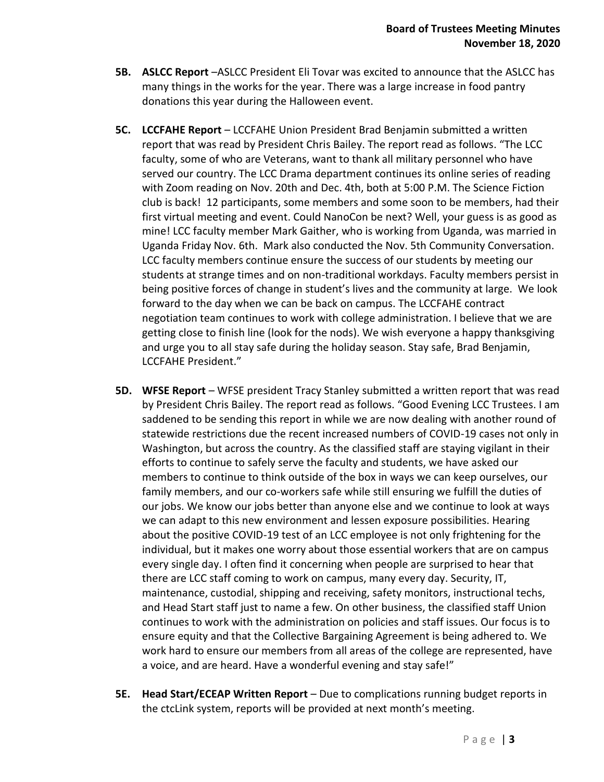- **5B. ASLCC Report** –ASLCC President Eli Tovar was excited to announce that the ASLCC has many things in the works for the year. There was a large increase in food pantry donations this year during the Halloween event.
- **5C. LCCFAHE Report** LCCFAHE Union President Brad Benjamin submitted a written report that was read by President Chris Bailey. The report read as follows. "The LCC faculty, some of who are Veterans, want to thank all military personnel who have served our country. The LCC Drama department continues its online series of reading with Zoom reading on Nov. 20th and Dec. 4th, both at 5:00 P.M. The Science Fiction club is back! 12 participants, some members and some soon to be members, had their first virtual meeting and event. Could NanoCon be next? Well, your guess is as good as mine! LCC faculty member Mark Gaither, who is working from Uganda, was married in Uganda Friday Nov. 6th. Mark also conducted the Nov. 5th Community Conversation. LCC faculty members continue ensure the success of our students by meeting our students at strange times and on non-traditional workdays. Faculty members persist in being positive forces of change in student's lives and the community at large. We look forward to the day when we can be back on campus. The LCCFAHE contract negotiation team continues to work with college administration. I believe that we are getting close to finish line (look for the nods). We wish everyone a happy thanksgiving and urge you to all stay safe during the holiday season. Stay safe, Brad Benjamin, LCCFAHE President."
- **5D. WFSE Report** WFSE president Tracy Stanley submitted a written report that was read by President Chris Bailey. The report read as follows. "Good Evening LCC Trustees. I am saddened to be sending this report in while we are now dealing with another round of statewide restrictions due the recent increased numbers of COVID-19 cases not only in Washington, but across the country. As the classified staff are staying vigilant in their efforts to continue to safely serve the faculty and students, we have asked our members to continue to think outside of the box in ways we can keep ourselves, our family members, and our co-workers safe while still ensuring we fulfill the duties of our jobs. We know our jobs better than anyone else and we continue to look at ways we can adapt to this new environment and lessen exposure possibilities. Hearing about the positive COVID-19 test of an LCC employee is not only frightening for the individual, but it makes one worry about those essential workers that are on campus every single day. I often find it concerning when people are surprised to hear that there are LCC staff coming to work on campus, many every day. Security, IT, maintenance, custodial, shipping and receiving, safety monitors, instructional techs, and Head Start staff just to name a few. On other business, the classified staff Union continues to work with the administration on policies and staff issues. Our focus is to ensure equity and that the Collective Bargaining Agreement is being adhered to. We work hard to ensure our members from all areas of the college are represented, have a voice, and are heard. Have a wonderful evening and stay safe!"
- **5E. Head Start/ECEAP Written Report** Due to complications running budget reports in the ctcLink system, reports will be provided at next month's meeting.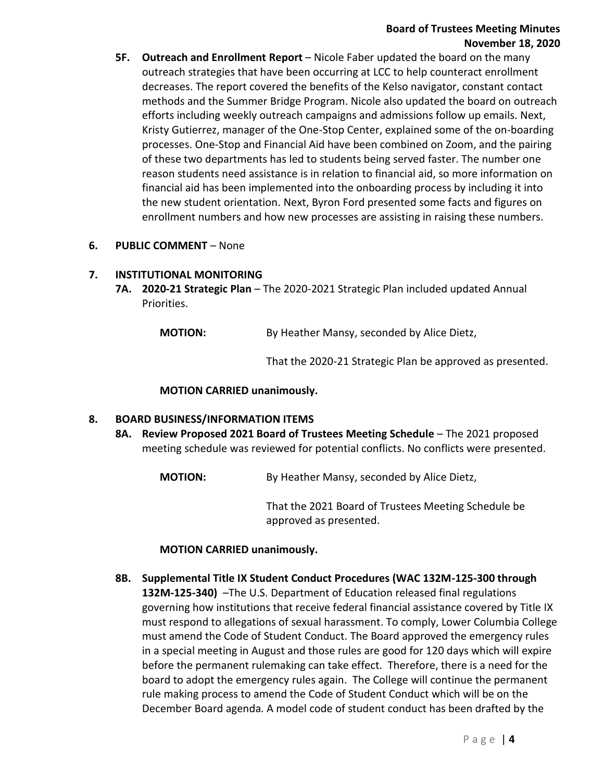# **Board of Trustees Meeting Minutes November 18, 2020**

- **5F. Outreach and Enrollment Report** Nicole Faber updated the board on the many outreach strategies that have been occurring at LCC to help counteract enrollment decreases. The report covered the benefits of the Kelso navigator, constant contact methods and the Summer Bridge Program. Nicole also updated the board on outreach efforts including weekly outreach campaigns and admissions follow up emails. Next, Kristy Gutierrez, manager of the One-Stop Center, explained some of the on-boarding processes. One-Stop and Financial Aid have been combined on Zoom, and the pairing of these two departments has led to students being served faster. The number one reason students need assistance is in relation to financial aid, so more information on financial aid has been implemented into the onboarding process by including it into the new student orientation. Next, Byron Ford presented some facts and figures on enrollment numbers and how new processes are assisting in raising these numbers.
- **6. PUBLIC COMMENT**  None

#### **7. INSTITUTIONAL MONITORING**

**7A. 2020-21 Strategic Plan** – The 2020-2021 Strategic Plan included updated Annual Priorities.

**MOTION:** By Heather Mansy, seconded by Alice Dietz,

That the 2020-21 Strategic Plan be approved as presented.

#### **MOTION CARRIED unanimously.**

# **8. BOARD BUSINESS/INFORMATION ITEMS**

8A. Review Proposed 2021 Board of Trustees Meeting Schedule - The 2021 proposed meeting schedule was reviewed for potential conflicts. No conflicts were presented.

**MOTION:** By Heather Mansy, seconded by Alice Dietz,

That the 2021 Board of Trustees Meeting Schedule be approved as presented.

#### **MOTION CARRIED unanimously.**

**8B. Supplemental Title IX Student Conduct Procedures (WAC 132M-125-300 through 132M-125-340)** –The U.S. Department of Education released final regulations governing how institutions that receive federal financial assistance covered by Title IX must respond to allegations of sexual harassment. To comply, Lower Columbia College must amend the Code of Student Conduct. The Board approved the emergency rules in a special meeting in August and those rules are good for 120 days which will expire before the permanent rulemaking can take effect. Therefore, there is a need for the board to adopt the emergency rules again. The College will continue the permanent rule making process to amend the Code of Student Conduct which will be on the December Board agenda. A model code of student conduct has been drafted by the